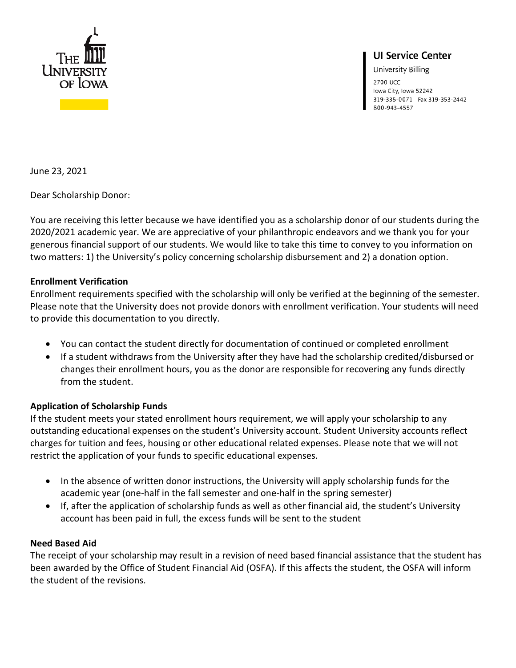

# **UI Service Center**

University Billing

2700 UCC Iowa City, Iowa 52242 319-335-0071 Fax 319-353-2442 800-943-4557

June 23, 2021

Dear Scholarship Donor:

You are receiving this letter because we have identified you as a scholarship donor of our students during the 2020/2021 academic year. We are appreciative of your philanthropic endeavors and we thank you for your generous financial support of our students. We would like to take this time to convey to you information on two matters: 1) the University's policy concerning scholarship disbursement and 2) a donation option.

## **Enrollment Verification**

Enrollment requirements specified with the scholarship will only be verified at the beginning of the semester. Please note that the University does not provide donors with enrollment verification. Your students will need to provide this documentation to you directly.

- You can contact the student directly for documentation of continued or completed enrollment
- If a student withdraws from the University after they have had the scholarship credited/disbursed or changes their enrollment hours, you as the donor are responsible for recovering any funds directly from the student.

## **Application of Scholarship Funds**

If the student meets your stated enrollment hours requirement, we will apply your scholarship to any outstanding educational expenses on the student's University account. Student University accounts reflect charges for tuition and fees, housing or other educational related expenses. Please note that we will not restrict the application of your funds to specific educational expenses.

- In the absence of written donor instructions, the University will apply scholarship funds for the academic year (one-half in the fall semester and one-half in the spring semester)
- If, after the application of scholarship funds as well as other financial aid, the student's University account has been paid in full, the excess funds will be sent to the student

## **Need Based Aid**

The receipt of your scholarship may result in a revision of need based financial assistance that the student has been awarded by the Office of Student Financial Aid (OSFA). If this affects the student, the OSFA will inform the student of the revisions.